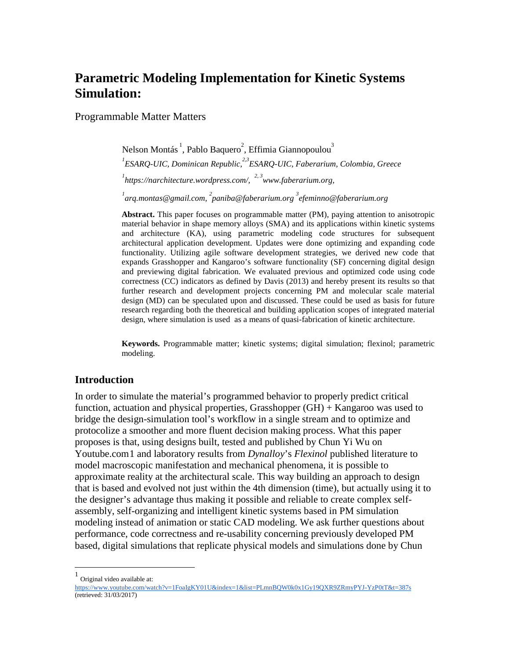# **Parametric Modeling Implementation for Kinetic Systems Simulation:**

Programmable Matter Matters

Nelson Montás <sup>1</sup>, Pablo Baquero<sup>2</sup>, Effimia Giannopoulou<sup>3</sup> *ESARQ-UIC, Dominican Republic, 2,3ESARQ-UIC, Faberarium, Colombia, Greece https://narchitecture.wordpress.com/, 2, [3www.faberarium.org,](http://www.faberarium.org/) [arq.montas@gmail.com,](mailto:arq.montas@gmail.com)  2 [paniba@faberarium.org](mailto:paniba@faberarium.org) <sup>3</sup> [efeminno@faberarium.org](mailto:efeminno@faberarium.org)*

**Abstract.** This paper focuses on programmable matter (PM), paying attention to anisotropic material behavior in shape memory alloys (SMA) and its applications within kinetic systems and architecture (KA), using parametric modeling code structures for subsequent architectural application development. Updates were done optimizing and expanding code functionality. Utilizing agile software development strategies, we derived new code that expands Grasshopper and Kangaroo's software functionality (SF) concerning digital design and previewing digital fabrication. We evaluated previous and optimized code using code correctness (CC) indicators as defined by Davis (2013) and hereby present its results so that further research and development projects concerning PM and molecular scale material design (MD) can be speculated upon and discussed. These could be used as basis for future research regarding both the theoretical and building application scopes of integrated material design, where simulation is used as a means of quasi-fabrication of kinetic architecture.

**Keywords.** Programmable matter; kinetic systems; digital simulation; flexinol; parametric modeling.

#### **Introduction**

In order to simulate the material's programmed behavior to properly predict critical function, actuation and physical properties, Grasshopper (GH) + Kangaroo was used to bridge the design-simulation tool's workflow in a single stream and to optimize and protocolize a smoother and more fluent decision making process. What this paper proposes is that, using designs built, tested and published by Chun Yi Wu on Youtube.com[1](#page-0-0) and laboratory results from *Dynalloy*'s *Flexinol* published literature to model macroscopic manifestation and mechanical phenomena, it is possible to approximate reality at the architectural scale. This way building an approach to design that is based and evolved not just within the 4th dimension (time), but actually using it to the designer's advantage thus making it possible and reliable to create complex selfassembly, self-organizing and intelligent kinetic systems based in PM simulation modeling instead of animation or static CAD modeling. We ask further questions about performance, code correctness and re-usability concerning previously developed PM based, digital simulations that replicate physical models and simulations done by Chun

<sup>|&</sup>lt;br>|<br>| Original video available at:

<span id="page-0-0"></span><https://www.youtube.com/watch?v=1FoaIgKY01U&index=1&list=PLmnBQW0k0x1Gy19QXR9ZRmyPYJ-YzP0tT&t=387s> (retrieved: 31/03/2017)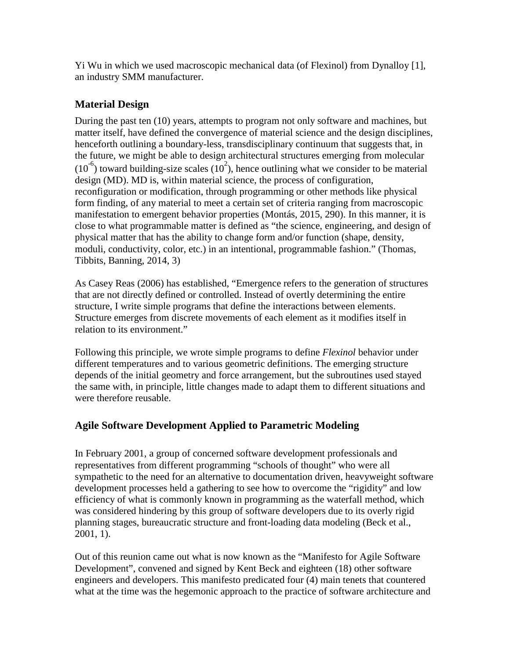Yi Wu in which we used macroscopic mechanical data (of Flexinol) from Dynalloy [1], an industry SMM manufacturer.

# **Material Design**

During the past ten (10) years, attempts to program not only software and machines, but matter itself, have defined the convergence of material science and the design disciplines, henceforth outlining a boundary-less, transdisciplinary continuum that suggests that, in the future, we might be able to design architectural structures emerging from molecular  $(10^{-6})$  toward building-size scales  $(10^2)$ , hence outlining what we consider to be material design (MD). MD is, within material science, the process of configuration, reconfiguration or modification, through programming or other methods like physical form finding, of any material to meet a certain set of criteria ranging from macroscopic manifestation to emergent behavior properties (Montás, 2015, 290). In this manner, it is close to what programmable matter is defined as "the science, engineering, and design of physical matter that has the ability to change form and/or function (shape, density, moduli, conductivity, color, etc.) in an intentional, programmable fashion." (Thomas, Tibbits, Banning, 2014, 3)

As Casey Reas (2006) has established, "Emergence refers to the generation of structures that are not directly defined or controlled. Instead of overtly determining the entire structure, I write simple programs that define the interactions between elements. Structure emerges from discrete movements of each element as it modifies itself in relation to its environment."

Following this principle, we wrote simple programs to define *Flexinol* behavior under different temperatures and to various geometric definitions. The emerging structure depends of the initial geometry and force arrangement, but the subroutines used stayed the same with, in principle, little changes made to adapt them to different situations and were therefore reusable.

# **Agile Software Development Applied to Parametric Modeling**

In February 2001, a group of concerned software development professionals and representatives from different programming "schools of thought" who were all sympathetic to the need for an alternative to documentation driven, heavyweight software development processes held a gathering to see how to overcome the "rigidity" and low efficiency of what is commonly known in programming as the waterfall method, which was considered hindering by this group of software developers due to its overly rigid planning stages, bureaucratic structure and front-loading data modeling (Beck et al., 2001, 1).

Out of this reunion came out what is now known as the "Manifesto for Agile Software Development", convened and signed by Kent Beck and eighteen (18) other software engineers and developers. This manifesto predicated four (4) main tenets that countered what at the time was the hegemonic approach to the practice of software architecture and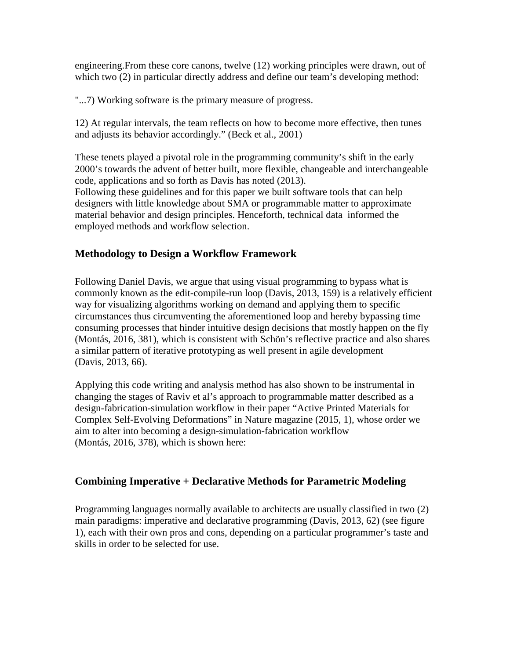engineering.From these core canons, twelve (12) working principles were drawn, out of which two (2) in particular directly address and define our team's developing method:

"...7) Working software is the primary measure of progress.

12) At regular intervals, the team reflects on how to become more effective, then tunes and adjusts its behavior accordingly." (Beck et al., 2001)

These tenets played a pivotal role in the programming community's shift in the early 2000's towards the advent of better built, more flexible, changeable and interchangeable code, applications and so forth as Davis has noted (2013).

Following these guidelines and for this paper we built software tools that can help designers with little knowledge about SMA or programmable matter to approximate material behavior and design principles. Henceforth, technical data informed the employed methods and workflow selection.

## **Methodology to Design a Workflow Framework**

Following Daniel Davis, we argue that using visual programming to bypass what is commonly known as the edit-compile-run loop (Davis, 2013, 159) is a relatively efficient way for visualizing algorithms working on demand and applying them to specific circumstances thus circumventing the aforementioned loop and hereby bypassing time consuming processes that hinder intuitive design decisions that mostly happen on the fly (Montás, 2016, 381), which is consistent with Schön's reflective practice and also shares a similar pattern of iterative prototyping as well present in agile development (Davis, 2013, 66).

Applying this code writing and analysis method has also shown to be instrumental in changing the stages of Raviv et al's approach to programmable matter described as a design-fabrication-simulation workflow in their paper "Active Printed Materials for Complex Self-Evolving Deformations" in Nature magazine (2015, 1), whose order we aim to alter into becoming a design-simulation-fabrication workflow (Montás, 2016, 378), which is shown here:

## **Combining Imperative + Declarative Methods for Parametric Modeling**

Programming languages normally available to architects are usually classified in two (2) main paradigms: imperative and declarative programming (Davis, 2013, 62) (see figure 1), each with their own pros and cons, depending on a particular programmer's taste and skills in order to be selected for use.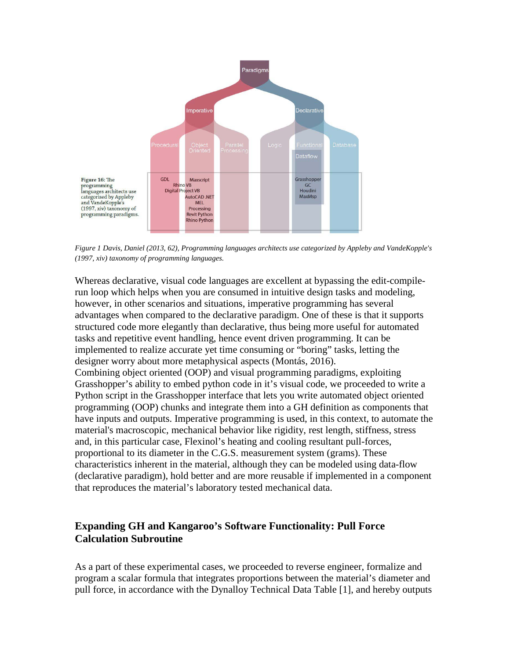

*Figure 1 Davis, Daniel (2013, 62), Programming languages architects use categorized by Appleby and VandeKopple's (1997, xiv) taxonomy of programming languages.*

Whereas declarative, visual code languages are excellent at bypassing the edit-compilerun loop which helps when you are consumed in intuitive design tasks and modeling, however, in other scenarios and situations, imperative programming has several advantages when compared to the declarative paradigm. One of these is that it supports structured code more elegantly than declarative, thus being more useful for automated tasks and repetitive event handling, hence event driven programming. It can be implemented to realize accurate yet time consuming or "boring" tasks, letting the designer worry about more metaphysical aspects (Montás, 2016). Combining object oriented (OOP) and visual programming paradigms, exploiting Grasshopper's ability to embed python code in it's visual code, we proceeded to write a Python script in the Grasshopper interface that lets you write automated object oriented programming (OOP) chunks and integrate them into a GH definition as components that have inputs and outputs. Imperative programming is used, in this context, to automate the material's macroscopic, mechanical behavior like rigidity, rest length, stiffness, stress and, in this particular case, Flexinol's heating and cooling resultant pull-forces, proportional to its diameter in the C.G.S. measurement system (grams). These characteristics inherent in the material, although they can be modeled using data-flow (declarative paradigm), hold better and are more reusable if implemented in a component that reproduces the material's laboratory tested mechanical data.

### **Expanding GH and Kangaroo's Software Functionality: Pull Force Calculation Subroutine**

As a part of these experimental cases, we proceeded to reverse engineer, formalize and program a scalar formula that integrates proportions between the material's diameter and pull force, in accordance with the Dynalloy Technical Data Table [1], and hereby outputs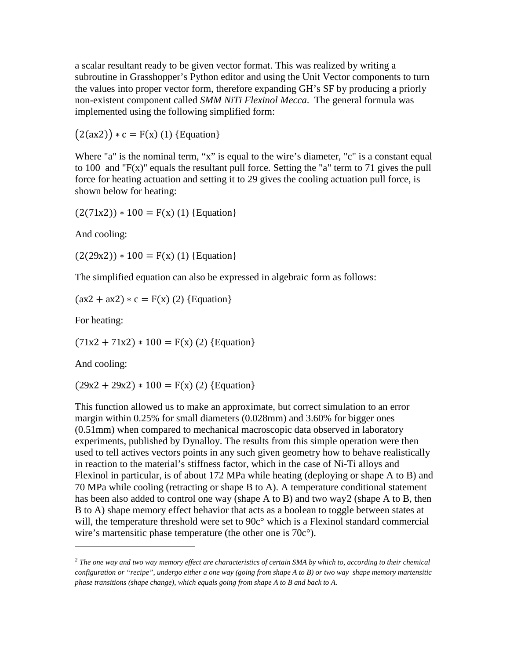a scalar resultant ready to be given vector format. This was realized by writing a subroutine in Grasshopper's Python editor and using the Unit Vector components to turn the values into proper vector form, therefore expanding GH's SF by producing a priorly non-existent component called *SMM NiTi Flexinol Mecca*. The general formula was implemented using the following simplified form:

 $(2(ax2)) * c = F(x) (1)$  {Equation}

Where "a" is the nominal term, "x" is equal to the wire's diameter, "c" is a constant equal to 100 and "F(x)" equals the resultant pull force. Setting the "a" term to 71 gives the pull force for heating actuation and setting it to 29 gives the cooling actuation pull force, is shown below for heating:

 $(2(71x2)) * 100 = F(x) (1)$  {Equation}

And cooling:

 $(2(29x2)) * 100 = F(x) (1)$  {Equation}

The simplified equation can also be expressed in algebraic form as follows:

 $(ax2 + ax2) * c = F(x) (2) {Equation}$ 

For heating:

 $(71x2 + 71x2) * 100 = F(x) (2)$  {Equation}

And cooling:

 $\overline{a}$ 

 $(29x2 + 29x2) * 100 = F(x) (2)$  {Equation}

This function allowed us to make an approximate, but correct simulation to an error margin within 0.25% for small diameters (0.028mm) and 3.60% for bigger ones (0.51mm) when compared to mechanical macroscopic data observed in laboratory experiments, published by Dynalloy. The results from this simple operation were then used to tell actives vectors points in any such given geometry how to behave realistically in reaction to the material's stiffness factor, which in the case of Ni-Ti alloys and Flexinol in particular, is of about 172 MPa while heating (deploying or shape A to B) and 70 MPa while cooling (retracting or shape B to A). A temperature conditional statement has been also added to control one way (shape A to B) and two wa[y2](#page-4-0) (shape A to B, then B to A) shape memory effect behavior that acts as a boolean to toggle between states at will, the temperature threshold were set to 90c° which is a Flexinol standard commercial wire's martensitic phase temperature (the other one is 70c°).

<span id="page-4-0"></span>*<sup>2</sup> The one way and two way memory effect are characteristics of certain SMA by which to, according to their chemical configuration or "recipe", undergo either a one way (going from shape A to B) or two way shape memory martensitic phase transitions (shape change), which equals going from shape A to B and back to A.*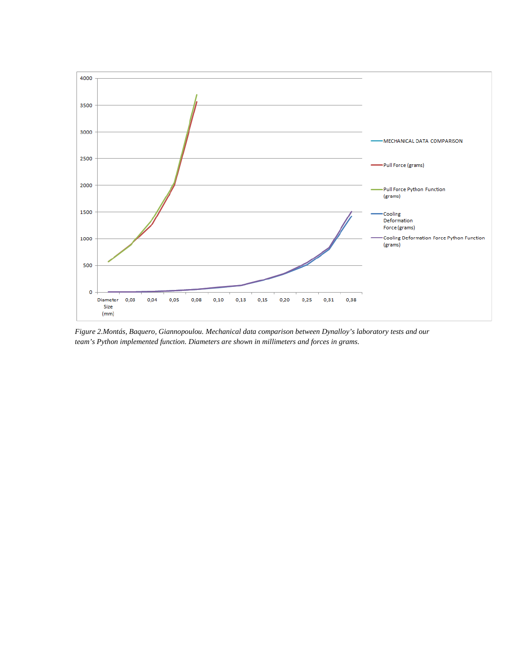

*Figure 2.Montás, Baquero, Giannopoulou. Mechanical data comparison between Dynalloy's laboratory tests and our team's Python implemented function. Diameters are shown in millimeters and forces in grams.*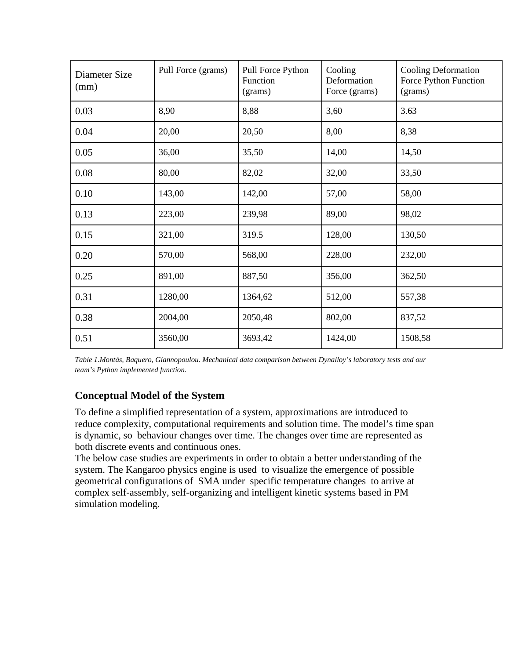| Diameter Size<br>(mm) | Pull Force (grams) | Pull Force Python<br>Function<br>(grams) | Cooling<br>Deformation<br>Force (grams) | <b>Cooling Deformation</b><br>Force Python Function<br>(grams) |
|-----------------------|--------------------|------------------------------------------|-----------------------------------------|----------------------------------------------------------------|
| 0.03                  | 8,90               | 8,88                                     | 3,60                                    | 3.63                                                           |
| 0.04                  | 20,00              | 20,50                                    | 8,00                                    | 8,38                                                           |
| 0.05                  | 36,00              | 35,50                                    | 14,00                                   | 14,50                                                          |
| 0.08                  | 80,00              | 82,02                                    | 32,00                                   | 33,50                                                          |
| 0.10                  | 143,00             | 142,00                                   | 57,00                                   | 58,00                                                          |
| 0.13                  | 223,00             | 239,98                                   | 89,00                                   | 98,02                                                          |
| 0.15                  | 321,00             | 319.5                                    | 128,00                                  | 130,50                                                         |
| 0.20                  | 570,00             | 568,00                                   | 228,00                                  | 232,00                                                         |
| 0.25                  | 891,00             | 887,50                                   | 356,00                                  | 362,50                                                         |
| 0.31                  | 1280,00            | 1364,62                                  | 512,00                                  | 557,38                                                         |
| 0.38                  | 2004,00            | 2050,48                                  | 802,00                                  | 837,52                                                         |
| 0.51                  | 3560,00            | 3693,42                                  | 1424,00                                 | 1508,58                                                        |

*Table 1.Montás, Baquero, Giannopoulou. Mechanical data comparison between Dynalloy's laboratory tests and our team's Python implemented function.*

# **Conceptual Model of the System**

To define a simplified representation of a system, approximations are introduced to reduce complexity, computational requirements and solution time. The model's time span is dynamic, so behaviour changes over time. The changes over time are represented as both discrete events and continuous ones.

The below case studies are experiments in order to obtain a better understanding of the system. The Kangaroo physics engine is used to visualize the emergence of possible geometrical configurations of SMA under specific temperature changes to arrive at complex self-assembly, self-organizing and intelligent kinetic systems based in PM simulation modeling.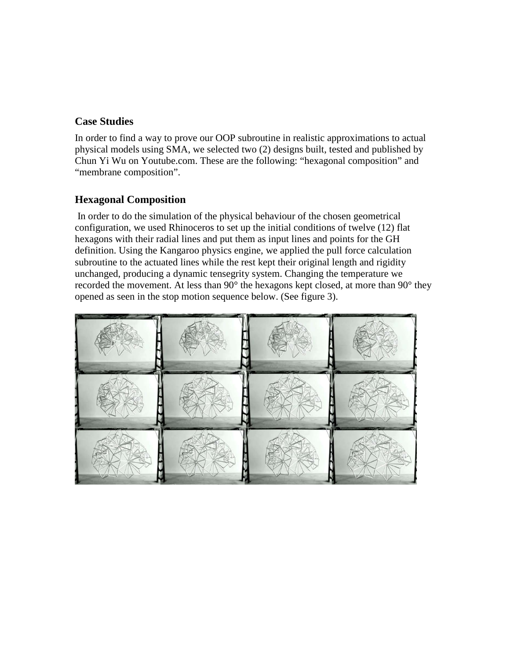#### **Case Studies**

In order to find a way to prove our OOP subroutine in realistic approximations to actual physical models using SMA, we selected two (2) designs built, tested and published by Chun Yi Wu on Youtube.com. These are the following: "hexagonal composition" and "membrane composition".

#### **Hexagonal Composition**

In order to do the simulation of the physical behaviour of the chosen geometrical configuration, we used Rhinoceros to set up the initial conditions of twelve (12) flat hexagons with their radial lines and put them as input lines and points for the GH definition. Using the Kangaroo physics engine, we applied the pull force calculation subroutine to the actuated lines while the rest kept their original length and rigidity unchanged, producing a dynamic tensegrity system. Changing the temperature we recorded the movement. At less than 90° the hexagons kept closed, at more than 90° they opened as seen in the stop motion sequence below. (See figure 3).

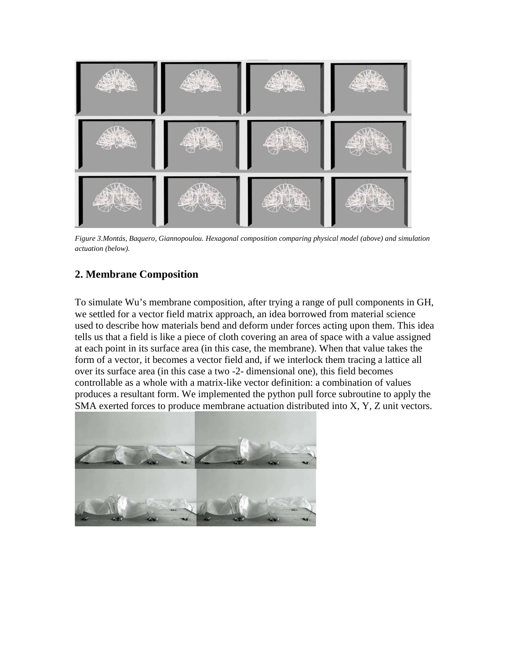

*Figure 3.Montás, Baquero, Giannopoulou. Hexagonal composition comparing physical model (above) and simulation actuation (below).*

# **2. Membrane Composition**

To simulate Wu's membrane composition, after trying a range of pull components in GH, we settled for a vector field matrix approach, an idea borrowed from material science used to describe how materials bend and deform under forces acting upon them. This idea tells us that a field is like a piece of cloth covering an area of space with a value assigned at each point in its surface area (in this case, the membrane). When that value takes the form of a vector, it becomes a vector field and, if we interlock them tracing a lattice all over its surface area (in this case a two -2- dimensional one), this field becomes controllable as a whole with a matrix-like vector definition: a combination of values produces a resultant form. We implemented the python pull force subroutine to apply the SMA exerted forces to produce membrane actuation distributed into X, Y, Z unit vectors.

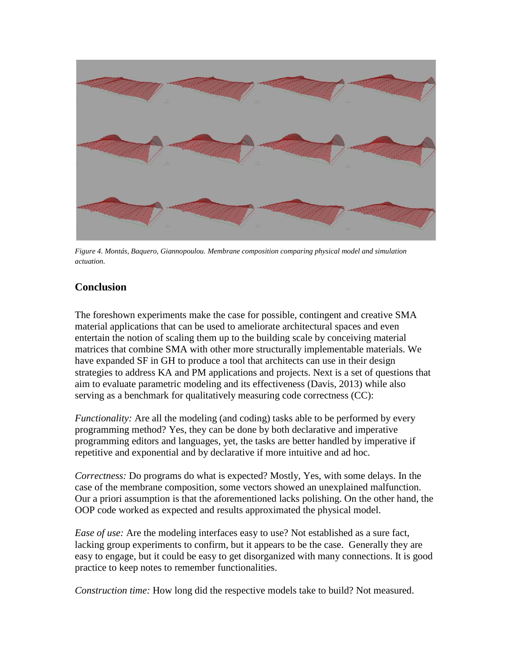

*Figure 4. Montás, Baquero, Giannopoulou. Membrane composition comparing physical model and simulation actuation.*

### **Conclusion**

The foreshown experiments make the case for possible, contingent and creative SMA material applications that can be used to ameliorate architectural spaces and even entertain the notion of scaling them up to the building scale by conceiving material matrices that combine SMA with other more structurally implementable materials. We have expanded SF in GH to produce a tool that architects can use in their design strategies to address KA and PM applications and projects. Next is a set of questions that aim to evaluate parametric modeling and its effectiveness (Davis, 2013) while also serving as a benchmark for qualitatively measuring code correctness (CC):

*Functionality:* Are all the modeling (and coding) tasks able to be performed by every programming method? Yes, they can be done by both declarative and imperative programming editors and languages, yet, the tasks are better handled by imperative if repetitive and exponential and by declarative if more intuitive and ad hoc.

*Correctness:* Do programs do what is expected? Mostly, Yes, with some delays. In the case of the membrane composition, some vectors showed an unexplained malfunction. Our a priori assumption is that the aforementioned lacks polishing. On the other hand, the OOP code worked as expected and results approximated the physical model.

*Ease of use:* Are the modeling interfaces easy to use? Not established as a sure fact, lacking group experiments to confirm, but it appears to be the case. Generally they are easy to engage, but it could be easy to get disorganized with many connections. It is good practice to keep notes to remember functionalities.

*Construction time:* How long did the respective models take to build? Not measured.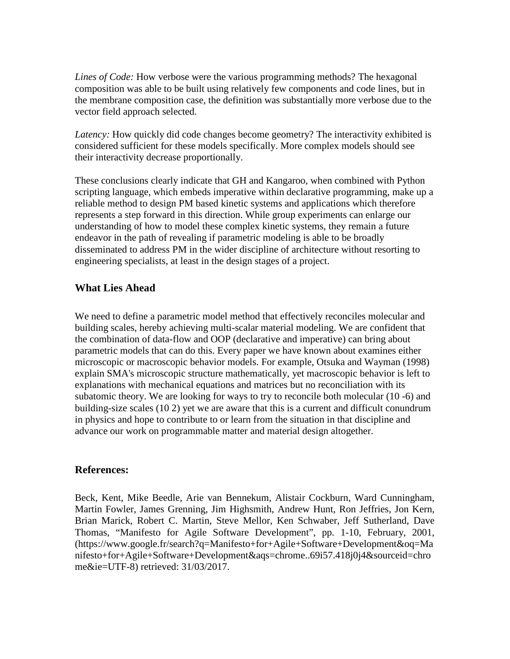*Lines of Code:* How verbose were the various programming methods? The hexagonal composition was able to be built using relatively few components and code lines, but in the membrane composition case, the definition was substantially more verbose due to the vector field approach selected.

*Latency:* How quickly did code changes become geometry? The interactivity exhibited is considered sufficient for these models specifically. More complex models should see their interactivity decrease proportionally.

These conclusions clearly indicate that GH and Kangaroo, when combined with Python scripting language, which embeds imperative within declarative programming, make up a reliable method to design PM based kinetic systems and applications which therefore represents a step forward in this direction. While group experiments can enlarge our understanding of how to model these complex kinetic systems, they remain a future endeavor in the path of revealing if parametric modeling is able to be broadly disseminated to address PM in the wider discipline of architecture without resorting to engineering specialists, at least in the design stages of a project.

### **What Lies Ahead**

We need to define a parametric model method that effectively reconciles molecular and building scales, hereby achieving multi-scalar material modeling. We are confident that the combination of data-flow and OOP (declarative and imperative) can bring about parametric models that can do this. Every paper we have known about examines either microscopic or macroscopic behavior models. For example, Otsuka and Wayman (1998) explain SMA's microscopic structure mathematically, yet macroscopic behavior is left to explanations with mechanical equations and matrices but no reconciliation with its subatomic theory. We are looking for ways to try to reconcile both molecular (10 -6) and building-size scales (10 2) yet we are aware that this is a current and difficult conundrum in physics and hope to contribute to or learn from the situation in that discipline and advance our work on programmable matter and material design altogether.

#### **References:**

Beck, Kent, Mike Beedle, Arie van Bennekum, Alistair Cockburn, Ward Cunningham, Martin Fowler, James Grenning, Jim Highsmith, Andrew Hunt, Ron Jeffries, Jon Kern, Brian Marick, Robert C. Martin, Steve Mellor, Ken Schwaber, Jeff Sutherland, Dave Thomas, "Manifesto for Agile Software Development", pp. 1-10, February, 2001, [\(https://www.google.fr/search?q=Manifesto+for+Agile+Software+Development&oq=Ma](https://www.google.fr/search?q=Manifesto+for+Agile+Software+Development&oq=Manifesto+for+Agile+Software+Development&aqs=chrome..69i57.418j0j4&sourceid=chrome&ie=UTF-8) [nifesto+for+Agile+Software+Development&aqs=chrome..69i57.418j0j4&sourceid=chro](https://www.google.fr/search?q=Manifesto+for+Agile+Software+Development&oq=Manifesto+for+Agile+Software+Development&aqs=chrome..69i57.418j0j4&sourceid=chrome&ie=UTF-8) [me&ie=UTF-8\)](https://www.google.fr/search?q=Manifesto+for+Agile+Software+Development&oq=Manifesto+for+Agile+Software+Development&aqs=chrome..69i57.418j0j4&sourceid=chrome&ie=UTF-8) retrieved: 31/03/2017.